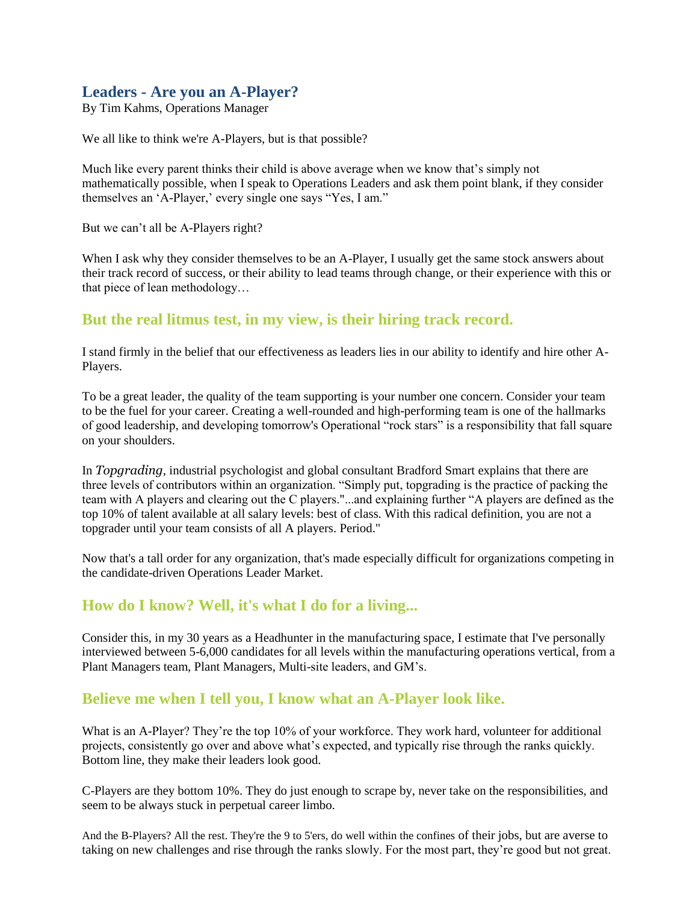## **Leaders - Are you an A-Player?**

By Tim Kahms, Operations Manager

We all like to think we're A-Players, but is that possible?

Much like every parent thinks their child is above average when we know that's simply not mathematically possible, when I speak to Operations Leaders and ask them point blank, if they consider themselves an 'A-Player,' every single one says "Yes, I am."

But we can't all be A-Players right?

When I ask why they consider themselves to be an A-Player, I usually get the same stock answers about their track record of success, or their ability to lead teams through change, or their experience with this or that piece of lean methodology…

## **But the real litmus test, in my view, is their hiring track record.**

I stand firmly in the belief that our effectiveness as leaders lies in our ability to identify and hire other A-Players.

To be a great leader, the quality of the team supporting is your number one concern. Consider your team to be the fuel for your career. Creating a well-rounded and high-performing team is one of the hallmarks of good leadership, and developing tomorrow's Operational "rock stars" is a responsibility that fall square on your shoulders.

In *Topgrading*, industrial psychologist and global consultant Bradford Smart explains that there are three levels of contributors within an organization. "Simply put, topgrading is the practice of packing the team with A players and clearing out the C players."...and explaining further "A players are defined as the top 10% of talent available at all salary levels: best of class. With this radical definition, you are not a topgrader until your team consists of all A players. Period."

Now that's a tall order for any organization, that's made especially difficult for organizations competing in the candidate-driven Operations Leader Market.

## **How do I know? Well, it's what I do for a living...**

Consider this, in my 30 years as a Headhunter in the manufacturing space, I estimate that I've personally interviewed between 5-6,000 candidates for all levels within the manufacturing operations vertical, from a Plant Managers team, Plant Managers, Multi-site leaders, and GM's.

## **Believe me when I tell you, I know what an A-Player look like.**

What is an A-Player? They're the top 10% of your workforce. They work hard, volunteer for additional projects, consistently go over and above what's expected, and typically rise through the ranks quickly. Bottom line, they make their leaders look good.

C-Players are they bottom 10%. They do just enough to scrape by, never take on the responsibilities, and seem to be always stuck in perpetual career limbo.

And the B-Players? All the rest. They're the 9 to 5'ers, do well within the confines of their jobs, but are averse to taking on new challenges and rise through the ranks slowly. For the most part, they're good but not great.